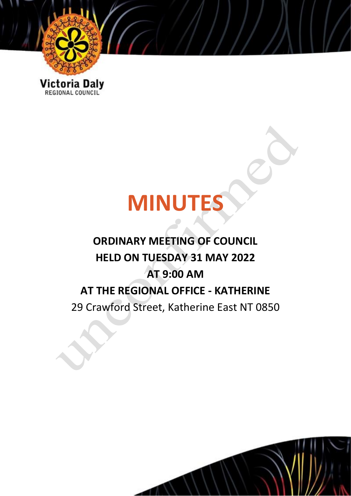

Victoria Daly

# **MINUTES**

## **ORDINARY MEETING OF COUNCIL HELD ON TUESDAY 31 MAY 2022 AT 9:00 AM AT THE REGIONAL OFFICE - KATHERINE** 29 Crawford Street, Katherine East NT 0850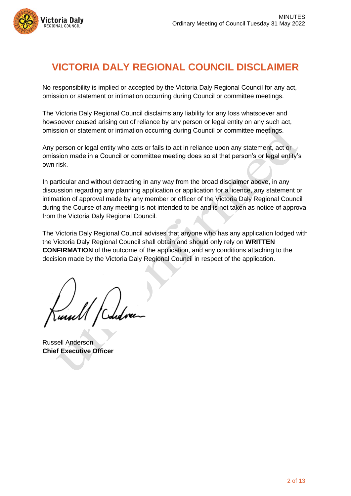

## **VICTORIA DALY REGIONAL COUNCIL DISCLAIMER**

No responsibility is implied or accepted by the Victoria Daly Regional Council for any act, omission or statement or intimation occurring during Council or committee meetings.

The Victoria Daly Regional Council disclaims any liability for any loss whatsoever and howsoever caused arising out of reliance by any person or legal entity on any such act, omission or statement or intimation occurring during Council or committee meetings.

Any person or legal entity who acts or fails to act in reliance upon any statement, act or omission made in a Council or committee meeting does so at that person's or legal entity's own risk.

In particular and without detracting in any way from the broad disclaimer above, in any discussion regarding any planning application or application for a licence, any statement or intimation of approval made by any member or officer of the Victoria Daly Regional Council during the Course of any meeting is not intended to be and is not taken as notice of approval from the Victoria Daly Regional Council.

The Victoria Daly Regional Council advises that anyone who has any application lodged with the Victoria Daly Regional Council shall obtain and should only rely on **WRITTEN CONFIRMATION** of the outcome of the application, and any conditions attaching to the decision made by the Victoria Daly Regional Council in respect of the application.

Russell Anderson **Chief Executive Officer**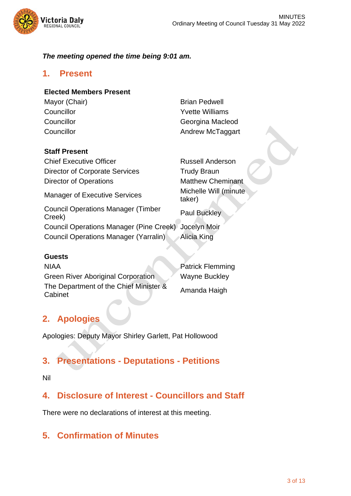

#### *The meeting opened the time being 9:01 am.*

#### **1. Present**

#### **Elected Members Present**

- Mayor (Chair) **Brian Pedwell**
- Councillor **Councillor Councillor Councillor Council** Councillor **Councillor** Councillor Councillor Councillor **Councillor** Councillor

#### **Staff Present**

**Chief Executive Officer Chief Anderson** Director of Corporate Services Trudy Braun Director of Operations **Matthew Cheminant** Manager of Executive Services Michelle Will (minute taker) Council Operations Manager (Timber Paul Buckley<br>Creek) Council Operations Manager (Pine Creek) Jocelyn Moir Council Operations Manager (Yarralin) Alicia King

#### **Guests**

NIAA Patrick Flemming Green River Aboriginal Corporation Wayne Buckley The Department of the Chief Minister & Amanda Haigh<br>Cabinet

## **2. Apologies**

Apologies: Deputy Mayor Shirley Garlett, Pat Hollowood

## **3. Presentations - Deputations - Petitions**

#### Nil

## **4. Disclosure of Interest - Councillors and Staff**

There were no declarations of interest at this meeting.

## **5. Confirmation of Minutes**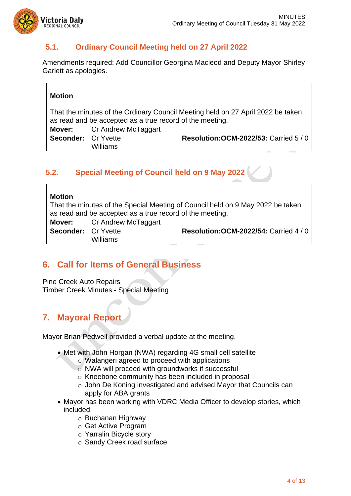

## **5.1. Ordinary Council Meeting held on 27 April 2022**

Amendments required: Add Councillor Georgina Macleod and Deputy Mayor Shirley Garlett as apologies.

#### **Motion**

That the minutes of the Ordinary Council Meeting held on 27 April 2022 be taken as read and be accepted as a true record of the meeting.

| Mover:                     | Cr Andrew McTaggart |
|----------------------------|---------------------|
| <b>Seconder:</b> Cr Yvette |                     |
|                            | <b>Williams</b>     |

**Resolution:OCM-2022/53:** Carried 5 / 0

## **5.2. Special Meeting of Council held on 9 May 2022**

| <b>Motion</b>              |                                   |                                                                                |
|----------------------------|-----------------------------------|--------------------------------------------------------------------------------|
|                            |                                   | That the minutes of the Special Meeting of Council held on 9 May 2022 be taken |
|                            |                                   | as read and be accepted as a true record of the meeting.                       |
|                            | <b>Mover:</b> Cr Andrew McTaggart |                                                                                |
| <b>Seconder: Cr Yvette</b> |                                   | <b>Resolution: OCM-2022/54: Carried 4/0</b>                                    |
|                            | <b>Williams</b>                   |                                                                                |

## **6. Call for Items of General Business**

Pine Creek Auto Repairs Timber Creek Minutes - Special Meeting

## **7. Mayoral Report**

Mayor Brian Pedwell provided a verbal update at the meeting.

- Met with John Horgan (NWA) regarding 4G small cell satellite
	- o Walangeri agreed to proceed with applications
	- o NWA will proceed with groundworks if successful
	- o Kneebone community has been included in proposal
	- o John De Koning investigated and advised Mayor that Councils can apply for ABA grants
- Mayor has been working with VDRC Media Officer to develop stories, which included:
	- o Buchanan Highway
	- o Get Active Program
	- o Yarralin Bicycle story
	- o Sandy Creek road surface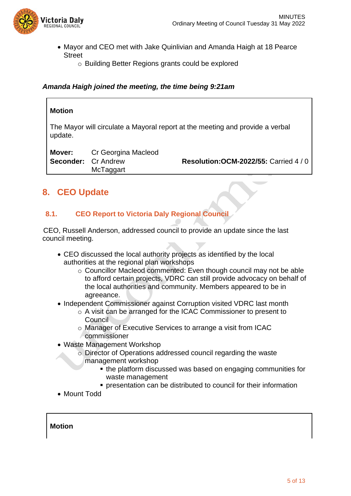

- Mayor and CEO met with Jake Quinlivian and Amanda Haigh at 18 Pearce **Street** 
	- o Building Better Regions grants could be explored

#### *Amanda Haigh joined the meeting, the time being 9:21am*

#### **Motion**

The Mayor will circulate a Mayoral report at the meeting and provide a verbal update.

| Mover:                     | Cr Georgina Macleod |                                             |
|----------------------------|---------------------|---------------------------------------------|
| <b>Seconder: Cr Andrew</b> | McTaggart           | <b>Resolution: OCM-2022/55: Carried 4/0</b> |
|                            |                     |                                             |

## **8. CEO Update**

#### **8.1. CEO Report to Victoria Daly Regional Council**

 CEO, Russell Anderson, addressed council to provide an update since the last council meeting.

- CEO discussed the local authority projects as identified by the local authorities at the regional plan workshops
	- o Councillor Macleod commented: Even though council may not be able to afford certain projects, VDRC can still provide advocacy on behalf of the local authorities and community. Members appeared to be in agreeance.
- Independent Commissioner against Corruption visited VDRC last month
	- o A visit can be arranged for the ICAC Commissioner to present to **Council**
	- o Manager of Executive Services to arrange a visit from ICAC commissioner
- Waste Management Workshop
	- o Director of Operations addressed council regarding the waste management workshop
		- the platform discussed was based on engaging communities for
			- waste management
			- **•** presentation can be distributed to council for their information
- Mount Todd

#### **Motion**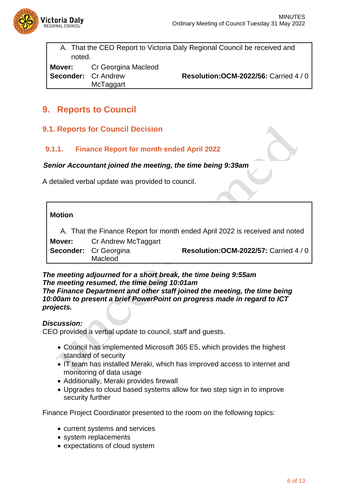

 $\mathsf{r}$ 

A. That the CEO Report to Victoria Daly Regional Council be received and noted.

**Mover:** Cr Georgina Macleod **Seconder:** Cr Andrew **McTaggart** 

**Resolution:OCM-2022/56:** Carried 4 / 0

## **9. Reports to Council**

#### **9.1. Reports for Council Decision**

#### **9.1.1. Finance Report for month ended April 2022**

#### *Senior Accountant joined the meeting, the time being 9:39am*

A detailed verbal update was provided to council.

| <b>Motion</b> |                                   |                                                                             |
|---------------|-----------------------------------|-----------------------------------------------------------------------------|
|               |                                   | A. That the Finance Report for month ended April 2022 is received and noted |
|               | <b>Mover:</b> Cr Andrew McTaggart |                                                                             |
|               | Seconder: Cr Georgina             | <b>Resolution: OCM-2022/57: Carried 4/0</b>                                 |
|               | Macleod                           |                                                                             |

#### *The meeting adjourned for a short break, the time being 9:55am The meeting resumed, the time being 10:01am The Finance Department and other staff joined the meeting, the time being 10:00am to present a brief PowerPoint on progress made in regard to ICT projects.*

#### *Discussion:*

CEO provided a verbal update to council, staff and guests.

- Council has implemented Microsoft 365 E5, which provides the highest standard of security
- IT team has installed Meraki, which has improved access to internet and monitoring of data usage
- Additionally, Meraki provides firewall
- Upgrades to cloud based systems allow for two step sign in to improve security further

Finance Project Coordinator presented to the room on the following topics:

- current systems and services
- system replacements
- expectations of cloud system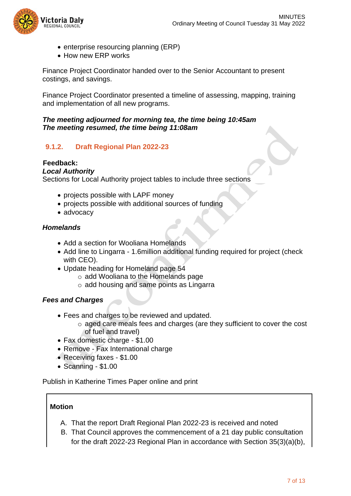

- enterprise resourcing planning (ERP)
- How new ERP works

Finance Project Coordinator handed over to the Senior Accountant to present costings, and savings.

Finance Project Coordinator presented a timeline of assessing, mapping, training and implementation of all new programs.

#### *The meeting adjourned for morning tea, the time being 10:45am The meeting resumed, the time being 11:08am*

#### **9.1.2. Draft Regional Plan 2022-23**

#### **Feedback:**

#### *Local Authority*

Sections for Local Authority project tables to include three sections

- projects possible with LAPF money
- projects possible with additional sources of funding
- advocacy

#### *Homelands*

- Add a section for Wooliana Homelands
- Add line to Lingarra 1.6million additional funding required for project (check with CEO).
- Update heading for Homeland page 54
	- o add Wooliana to the Homelands page
	- o add housing and same points as Lingarra

#### *Fees and Charges*

- Fees and charges to be reviewed and updated.
	- o aged care meals fees and charges (are they sufficient to cover the cost of fuel and travel)
- Fax domestic charge \$1.00
- Remove Fax International charge
- Receiving faxes \$1.00
- Scanning \$1.00

Publish in Katherine Times Paper online and print

#### **Motion**

- A. That the report Draft Regional Plan 2022-23 is received and noted
- B. That Council approves the commencement of a 21 day public consultation for the draft 2022-23 Regional Plan in accordance with Section 35(3)(a)(b),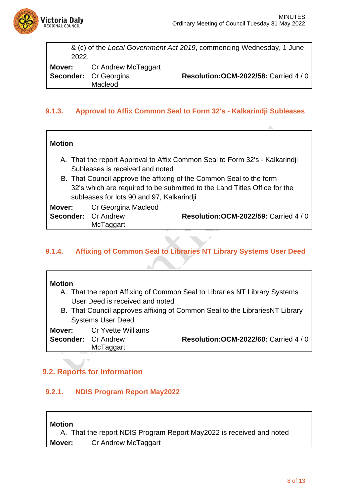

|       |                                         | & (c) of the Local Government Act 2019, commencing Wednesday, 1 June |
|-------|-----------------------------------------|----------------------------------------------------------------------|
| 2022. |                                         |                                                                      |
|       | <b>Mover:</b> Cr Andrew McTaggart       |                                                                      |
|       | <b>Seconder:</b> Cr Georgina<br>Macleod | <b>Resolution: OCM-2022/58: Carried 4/0</b>                          |

#### **9.1.3. Approval to Affix Common Seal to Form 32's - Kalkarindji Subleases**

#### **Motion**

- A. That the report Approval to Affix Common Seal to Form 32's Kalkarindji Subleases is received and noted
- B. That Council approve the affixing of the Common Seal to the form 32's which are required to be submitted to the Land Titles Office for the subleases for lots 90 and 97, Kalkarindji

| Mover:                     | Cr Georgina Macleod |                                             |
|----------------------------|---------------------|---------------------------------------------|
| <b>Seconder: Cr Andrew</b> | McTaggart           | <b>Resolution: OCM-2022/59: Carried 4/0</b> |
|                            |                     |                                             |

#### **9.1.4. Affixing of Common Seal to Libraries NT Library Systems User Deed**

#### **Motion**

- A. That the report Affixing of Common Seal to Libraries NT Library Systems User Deed is received and noted
- B. That Council approves affixing of Common Seal to the LibrariesNT Library Systems User Deed

#### **Mover:** Cr Yvette Williams

| <b>Seconder: Cr Andrew</b> |           | <b>Resolution: OCM-2022/60: Carried 4/0</b> |
|----------------------------|-----------|---------------------------------------------|
|                            | McTaggart |                                             |

## **9.2. Reports for Information**

### **9.2.1. NDIS Program Report May2022**

**Motion**

A. That the report NDIS Program Report May2022 is received and noted **Mover:** Cr Andrew McTaggart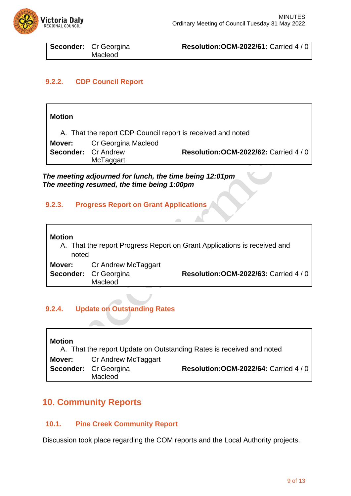

| <b>Seconder:</b> Cr Georgina |
|------------------------------|
| Macleod                      |

**Resolution:OCM-2022/61:** Carried 4 / 0

#### **9.2.2. CDP Council Report**

| <b>Motion</b>              |                     |                                                             |
|----------------------------|---------------------|-------------------------------------------------------------|
|                            |                     | A. That the report CDP Council report is received and noted |
| Mover:                     | Cr Georgina Macleod |                                                             |
| <b>Seconder: Cr Andrew</b> |                     | <b>Resolution: OCM-2022/62: Carried 4/0</b>                 |
|                            | McTaggart           |                                                             |

*The meeting adjourned for lunch, the time being 12:01pm The meeting resumed, the time being 1:00pm*

#### **9.2.3. Progress Report on Grant Applications**



#### **9.2.4. Update on Outstanding Rates**

| <b>Motion</b> |                                                                       | A. That the report Update on Outstanding Rates is received and noted |
|---------------|-----------------------------------------------------------------------|----------------------------------------------------------------------|
|               | <b>Mover:</b> Cr Andrew McTaggart<br>Seconder: Cr Georgina<br>Macleod | <b>Resolution: OCM-2022/64: Carried 4/0</b>                          |

## **10. Community Reports**

#### **10.1. Pine Creek Community Report**

Discussion took place regarding the COM reports and the Local Authority projects.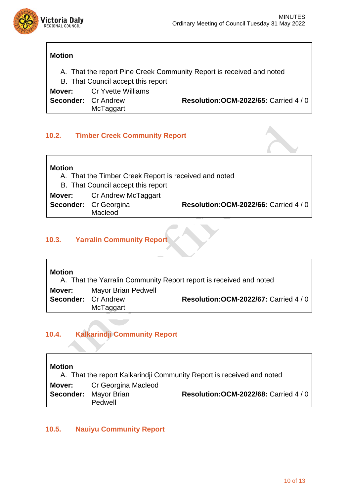

#### **Motion**

A. That the report Pine Creek Community Report is received and noted

B. That Council accept this report

**Mover:** Cr Yvette Williams

**Seconder:** Cr Andrew

McTaggart

**Resolution:OCM-2022/65:** Carried 4 / 0

#### **10.2. Timber Creek Community Report**

| <b>Motion</b> |                                                       |                                             |
|---------------|-------------------------------------------------------|---------------------------------------------|
|               | A. That the Timber Creek Report is received and noted |                                             |
|               | B. That Council accept this report                    |                                             |
|               | <b>Mover:</b> Cr Andrew McTaggart                     |                                             |
|               | Seconder: Cr Georgina                                 | <b>Resolution: OCM-2022/66: Carried 4/0</b> |
|               | Macleod                                               |                                             |

#### **10.3. Yarralin Community Report**

| <b>Motion</b>              |                     | A. That the Yarralin Community Report report is received and noted |
|----------------------------|---------------------|--------------------------------------------------------------------|
| Mover:                     | Mayor Brian Pedwell |                                                                    |
| <b>Seconder: Cr Andrew</b> |                     | <b>Resolution: OCM-2022/67: Carried 4 / 0</b>                      |
|                            | McTaggart           |                                                                    |

## **10.4. Kalkarindji Community Report**

| <b>Motion</b><br>A. That the report Kalkarindji Community Report is received and noted |                                   |                                             |  |  |
|----------------------------------------------------------------------------------------|-----------------------------------|---------------------------------------------|--|--|
|                                                                                        | <b>Mover:</b> Cr Georgina Macleod |                                             |  |  |
|                                                                                        | <b>Seconder:</b> Mayor Brian      | <b>Resolution: OCM-2022/68: Carried 4/0</b> |  |  |
|                                                                                        | Pedwell                           |                                             |  |  |

#### **10.5. Nauiyu Community Report**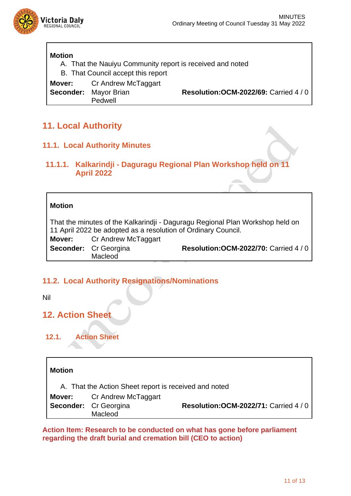

#### **Motion**

A. That the Nauiyu Community report is received and noted

B. That Council accept this report

**Mover:** Cr Andrew McTaggart **Seconder:** Mayor Brian Pedwell

**Resolution:OCM-2022/69:** Carried 4 / 0

## **11. Local Authority**

#### **11.1. Local Authority Minutes**

#### **11.1.1. Kalkarindji - Daguragu Regional Plan Workshop held on 11 April 2022**

#### **Motion**

That the minutes of the Kalkarindji - Daguragu Regional Plan Workshop held on 11 April 2022 be adopted as a resolution of Ordinary Council. **Mover:** Cr Andrew McTaggart **Seconder:** Cr Georgina Macleod **Resolution:OCM-2022/70:** Carried 4 / 0

#### **11.2. Local Authority Resignations/Nominations**

Nil

## **12. Action Sheet**

**12.1. Action Sheet**

## **Motion** A. That the Action Sheet report is received and noted **Mover:** Cr Andrew McTaggart **Seconder:** Cr Georgina Macleod **Resolution:OCM-2022/71:** Carried 4 / 0

**Action Item: Research to be conducted on what has gone before parliament regarding the draft burial and cremation bill (CEO to action)**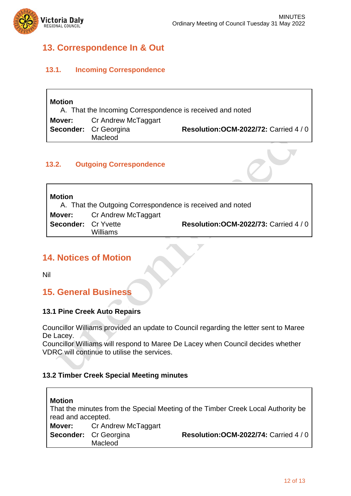ו



 $\Gamma$ 

## **13. Correspondence In & Out**

#### **13.1. Incoming Correspondence**

| <b>Motion</b><br>A. That the Incoming Correspondence is received and noted |                                                                              |                                             |  |  |
|----------------------------------------------------------------------------|------------------------------------------------------------------------------|---------------------------------------------|--|--|
|                                                                            | <b>Mover:</b> Cr Andrew McTaggart<br><b>Seconder:</b> Cr Georgina<br>Macleod | <b>Resolution: OCM-2022/72: Carried 4/0</b> |  |  |

#### **13.2. Outgoing Correspondence**

| <b>Motion</b><br>A. That the Outgoing Correspondence is received and noted |                                   |                                             |  |  |
|----------------------------------------------------------------------------|-----------------------------------|---------------------------------------------|--|--|
|                                                                            | <b>Mover:</b> Cr Andrew McTaggart |                                             |  |  |
| <b>Seconder:</b> Cr Yvette                                                 |                                   | <b>Resolution: OCM-2022/73: Carried 4/0</b> |  |  |
|                                                                            | Williams                          |                                             |  |  |

## **14. Notices of Motion**

Nil

 $\blacksquare$ 

## **15. General Business**

#### **13.1 Pine Creek Auto Repairs**

Councillor Williams provided an update to Council regarding the letter sent to Maree De Lacey.

Councillor Williams will respond to Maree De Lacey when Council decides whether VDRC will continue to utilise the services.

#### **13.2 Timber Creek Special Meeting minutes**

| <b>Motion</b><br>read and accepted. |                                         | That the minutes from the Special Meeting of the Timber Creek Local Authority be |
|-------------------------------------|-----------------------------------------|----------------------------------------------------------------------------------|
|                                     | <b>Mover:</b> Cr Andrew McTaggart       |                                                                                  |
|                                     | <b>Seconder:</b> Cr Georgina<br>Macleod | <b>Resolution: OCM-2022/74: Carried 4/0</b>                                      |